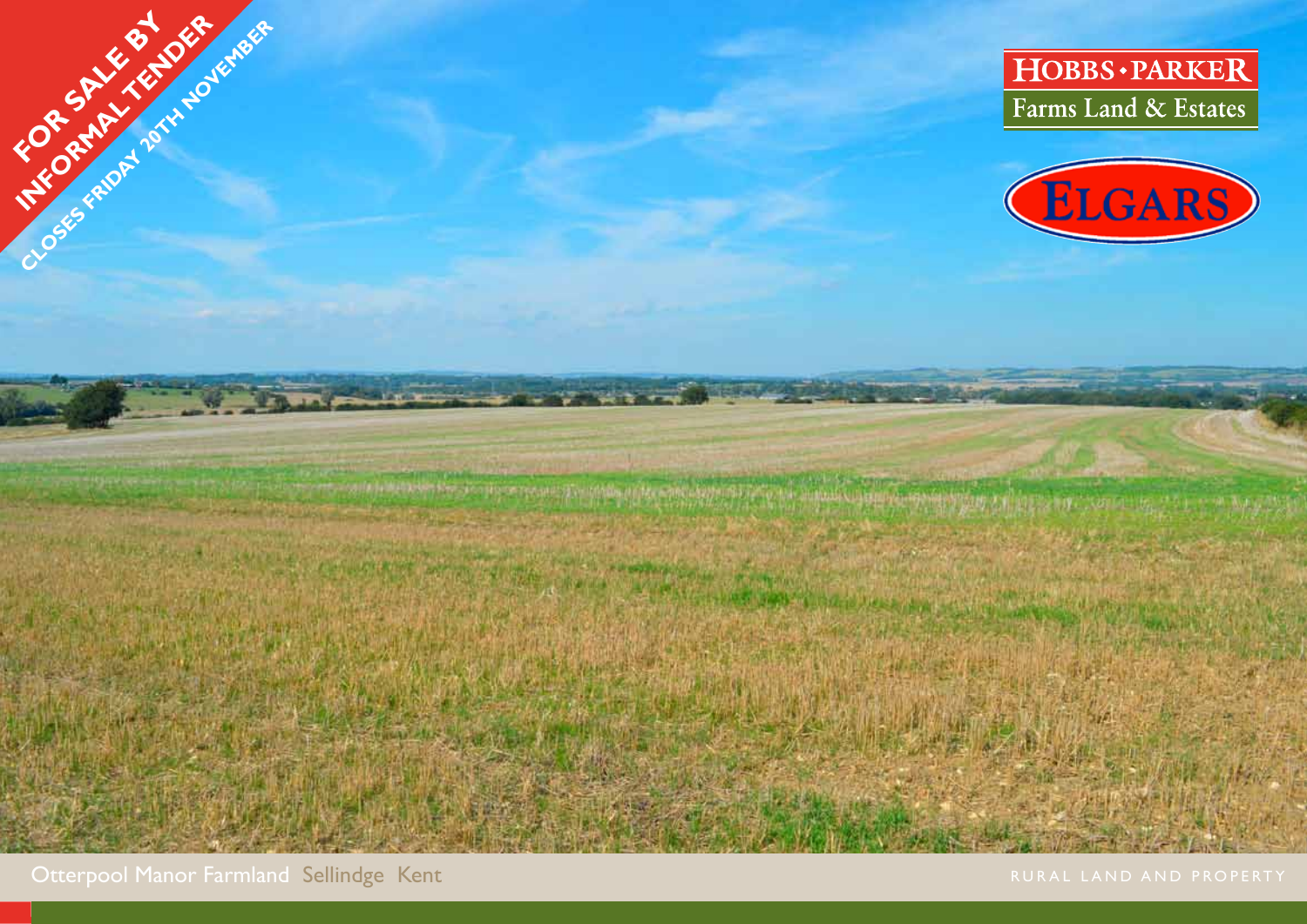



 $\mathbf{u} \in \mathcal{U}$ 

Otterpool Manor Farmland Sellindge Kent

OSES FRIDAY 2014-100 FEB 1955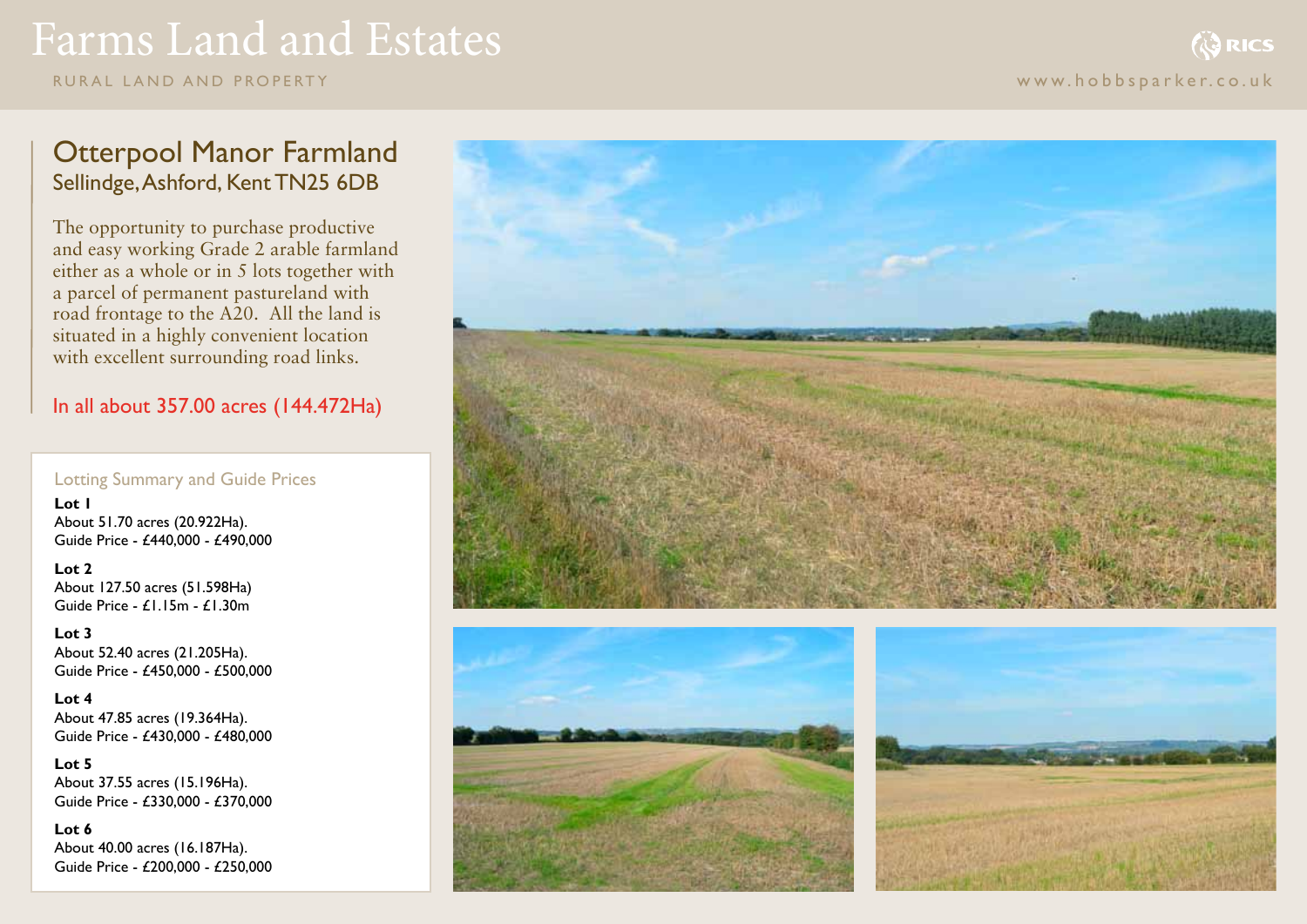# Farms Land and Estates

rural land and pr o perty www.hobbsparker.co.uk

## Otterpool Manor Farmland Sellindge, Ashford, Kent TN25 6DB

The opportunity to purchase productive and easy working Grade 2 arable farmland either as a whole or in 5 lots together with a parcel of permanent pastureland with road frontage to the A20. All the land is situated in a highly convenient location with excellent surrounding road links.

In all about 357.00 acres (144.472Ha)

## Lotting Summary and Guide Prices

**Lot 1** About 51.70 acres (20.922Ha). Guide Price - £440,000 - £490,000

**Lot 2** About 127.50 acres (51.598Ha) Guide Price -  $f1.15m - f1.30m$ 

**Lot 3** About 52.40 acres (21.205Ha). Guide Price - £450,000 - £500,000

**Lot 4** About 47.85 acres (19.364Ha). Guide Price - £430,000 - £480,000

**Lot 5** About 37.55 acres (15.196Ha). Guide Price - £330,000 - £370,000

**Lot 6** About 40.00 acres (16.187Ha). Guide Price - £200,000 - £250,000





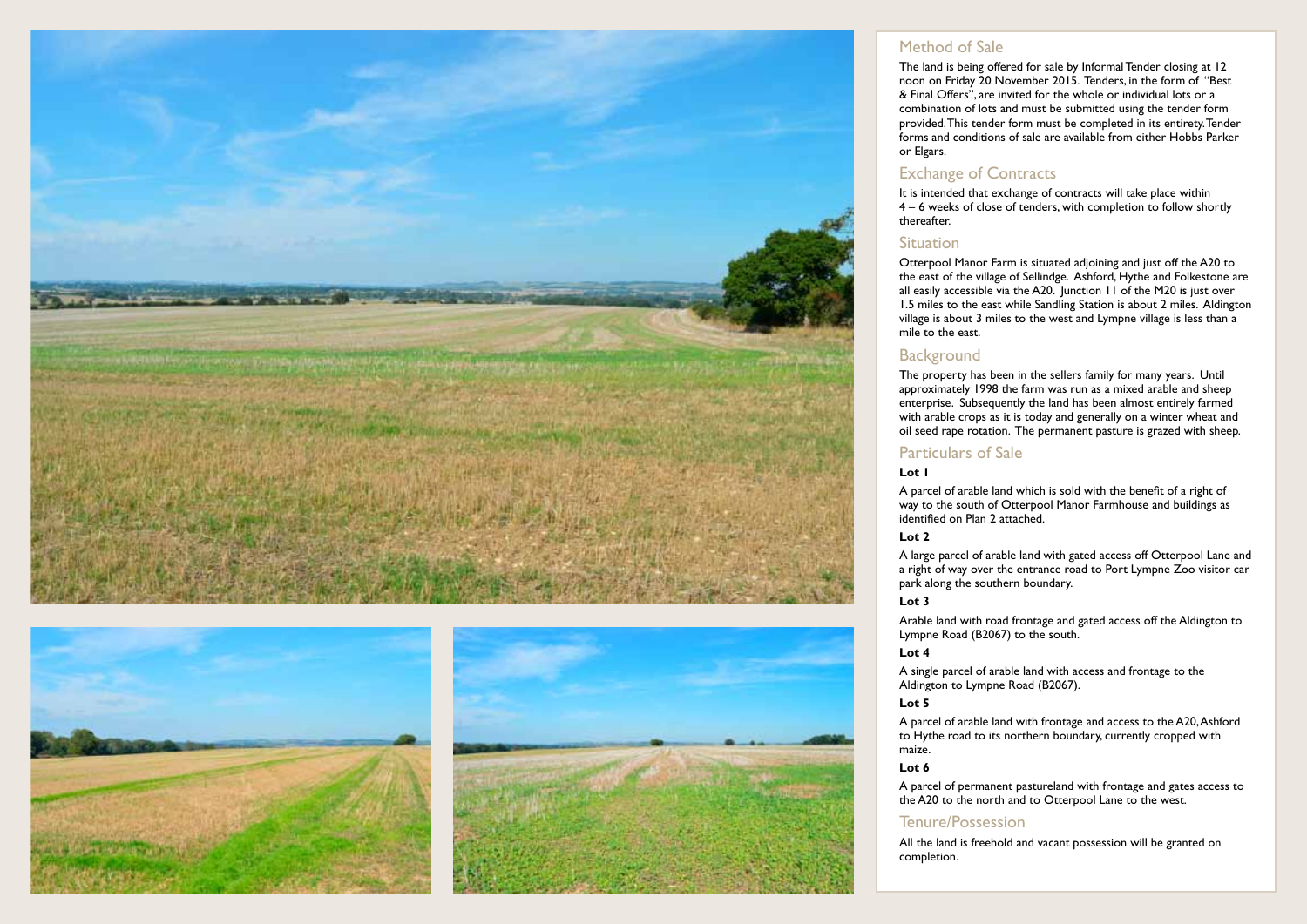





#### Method of Sale

The land is being offered for sale by Informal Tender closing at 12 noon on Friday 20 November 2015. Tenders, in the form of "Best & Final Offers", are invited for the whole or individual lots or a combination of lots and must be submitted using the tender form provided. This tender form must be completed in its entirety. Tender forms and conditions of sale are available from either Hobbs Parker or Elgars.

#### Exchange of Contracts

It is intended that exchange of contracts will take place within 4 – 6 weeks of close of tenders, with completion to follow shortly thereafter.

#### Situation

Otterpool Manor Farm is situated adjoining and just off the A20 to the east of the village of Sellindge. Ashford, Hythe and Folkestone are all easily accessible via the A20. Junction 11 of the M20 is just over 1.5 miles to the east while Sandling Station is about 2 miles. Aldington village is about 3 miles to the west and Lympne village is less than a mile to the east.

#### **Background**

The property has been in the sellers family for many years. Until approximately 1998 the farm was run as a mixed arable and sheep enterprise. Subsequently the land has been almost entirely farmed with arable crops as it is today and generally on a winter wheat and oil seed rape rotation. The permanent pasture is grazed with sheep.

#### Particulars of Sale

#### **Lot 1**

A parcel of arable land which is sold with the benefit of a right of way to the south of Otterpool Manor Farmhouse and buildings as identified on Plan 2 attached.

#### **Lot 2**

A large parcel of arable land with gated access off Otterpool Lane and a right of way over the entrance road to Port Lympne Zoo visitor car park along the southern boundary.

#### **Lot 3**

Arable land with road frontage and gated access off the Aldington to Lympne Road (B2067) to the south.

#### **Lot 4**

A single parcel of arable land with access and frontage to the Aldington to Lympne Road (B2067).

#### **Lot 5**

A parcel of arable land with frontage and access to the A20, Ashford to Hythe road to its northern boundary, currently cropped with maize.

#### **Lot 6**

A parcel of permanent pastureland with frontage and gates access to the A20 to the north and to Otterpool Lane to the west.

#### Tenure/Possession

All the land is freehold and vacant possession will be granted on completion.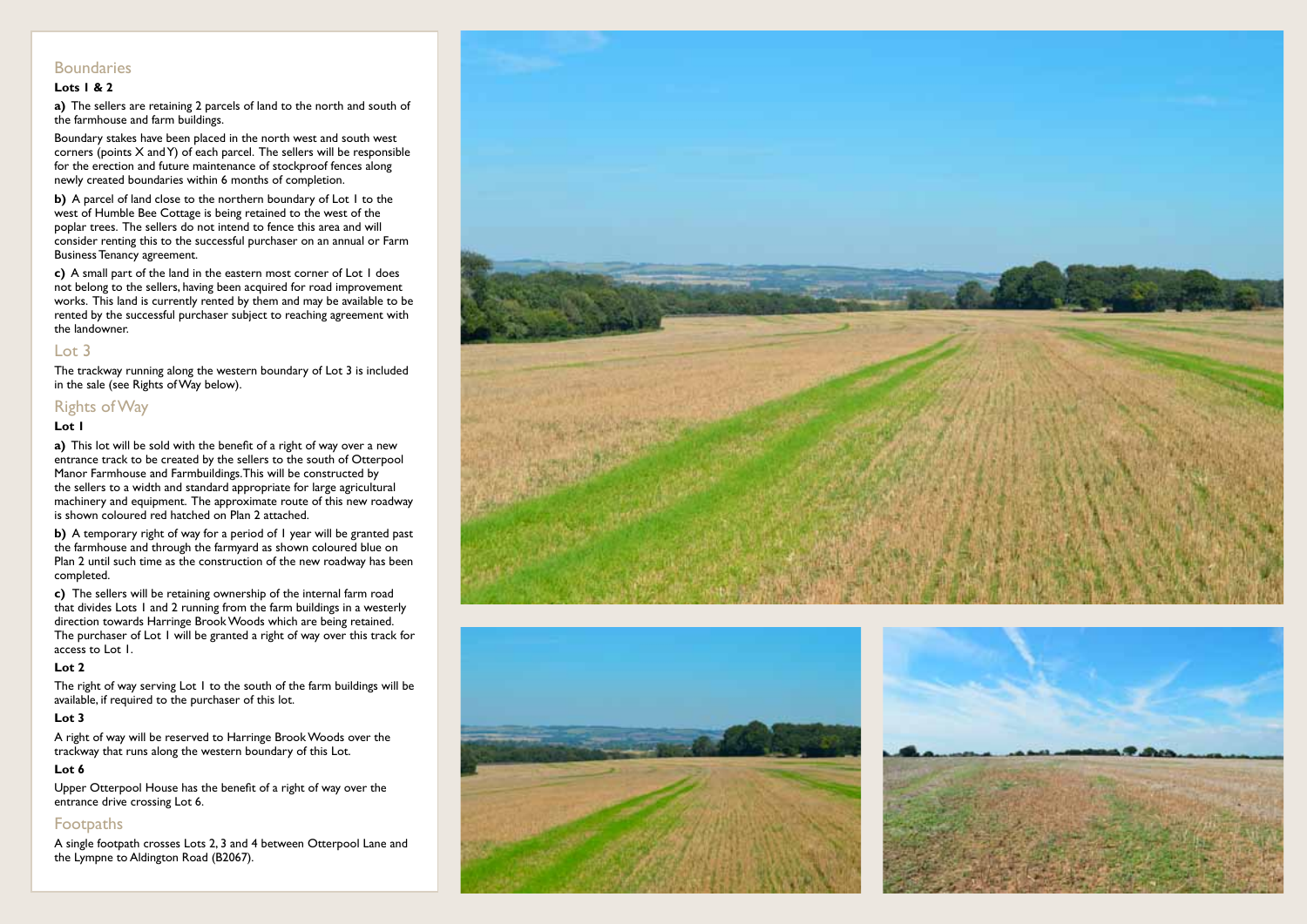#### **Boundaries**

#### **Lots 1 & 2**

**a)** The sellers are retaining 2 parcels of land to the north and south of the farmhouse and farm buildings.

Boundary stakes have been placed in the north west and south west corners (points X and Y) of each parcel. The sellers will be responsible for the erection and future maintenance of stockproof fences along newly created boundaries within 6 months of completion.

**b)** A parcel of land close to the northern boundary of Lot 1 to the west of Humble Bee Cottage is being retained to the west of the poplar trees. The sellers do not intend to fence this area and will consider renting this to the successful purchaser on an annual or Farm Business Tenancy agreement.

**c)** A small part of the land in the eastern most corner of Lot 1 does not belong to the sellers, having been acquired for road improvement works. This land is currently rented by them and may be available to be rented by the successful purchaser subject to reaching agreement with the landowner.

#### Lot 3

The trackway running along the western boundary of Lot 3 is included in the sale (see Rights of Way below).

#### Rights of Way

#### **Lot 1**

**a)** This lot will be sold with the benefit of a right of way over a new entrance track to be created by the sellers to the south of Otterpool Manor Farmhouse and Farmbuildings. This will be constructed by the sellers to a width and standard appropriate for large agricultural machinery and equipment. The approximate route of this new roadway is shown coloured red hatched on Plan 2 attached.

**b)** A temporary right of way for a period of 1 year will be granted past the farmhouse and through the farmyard as shown coloured blue on Plan 2 until such time as the construction of the new roadway has been completed.

**c)** The sellers will be retaining ownership of the internal farm road that divides Lots 1 and 2 running from the farm buildings in a westerly direction towards Harringe Brook Woods which are being retained. The purchaser of Lot 1 will be granted a right of way over this track for access to Lot 1.

#### **Lot 2**

The right of way serving Lot 1 to the south of the farm buildings will be available, if required to the purchaser of this lot.

#### **Lot 3**

A right of way will be reserved to Harringe Brook Woods over the trackway that runs along the western boundary of this Lot.

#### **Lot 6**

Upper Otterpool House has the benefit of a right of way over the entrance drive crossing Lot 6.

#### Footpaths

A single footpath crosses Lots 2, 3 and 4 between Otterpool Lane and the Lympne to Aldington Road (B2067).





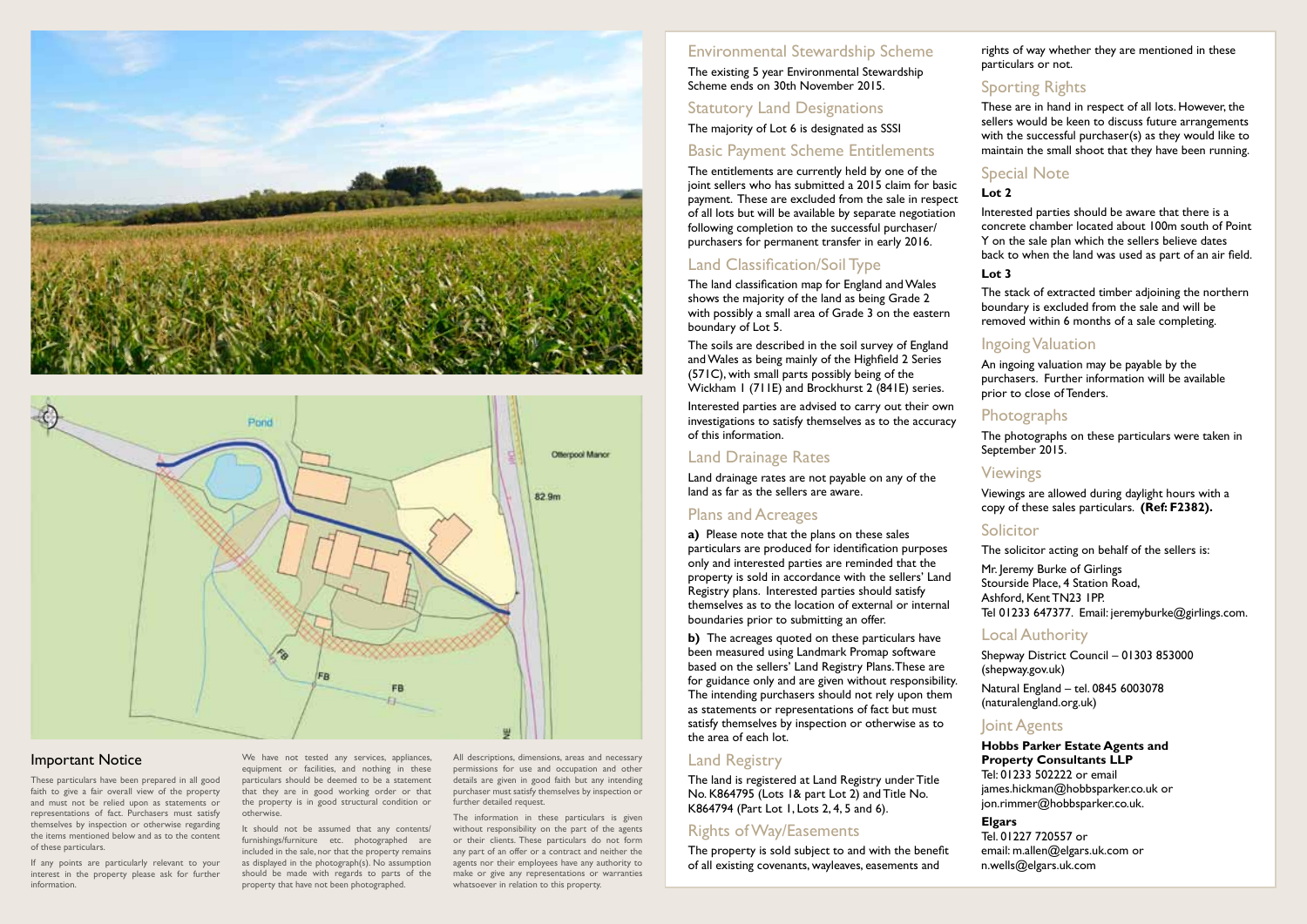



#### Important Notice

These particulars have been prepared in all good faith to give a fair overall view of the property and must not be relied upon as statements or representations of fact. Purchasers must satisfy themselves by inspection or otherwise regarding the items mentioned below and as to the content of these particulars.

If any points are particularly relevant to your interest in the property please ask for further information.

We have not tested any services, appliances, equipment or facilities, and nothing in these particulars should be deemed to be a statement that they are in good working order or that the property is in good structural condition or otherwise.

It should not be assumed that any contents/ furnishings/furniture etc. photographed are included in the sale, nor that the property remains as displayed in the photograph(s). No assumption should be made with regards to parts of the property that have not been photographed.

All descriptions, dimensions, areas and necessary permissions for use and occupation and other details are given in good faith but any intending purchaser must satisfy themselves by inspection or further detailed request.

 The information in these particulars is given without responsibility on the part of the agents or their clients. These particulars do not form any part of an offer or a contract and neither the agents nor their employees have any authority to make or give any representations or warranties whatsoever in relation to this property.

#### Environmental Stewardship Scheme The existing 5 year Environmental Stewardship Scheme ends on 30th November 2015.

#### Statutory Land Designations

The majority of Lot 6 is designated as SSSI

#### Basic Payment Scheme Entitlements

The entitlements are currently held by one of the joint sellers who has submitted a 2015 claim for basic payment. These are excluded from the sale in respect of all lots but will be available by separate negotiation following completion to the successful purchaser/ purchasers for permanent transfer in early 2016.

## Land Classification/Soil Type

The land classification map for England and Wales shows the majority of the land as being Grade 2 with possibly a small area of Grade 3 on the eastern boundary of Lot 5.

The soils are described in the soil survey of England and Wales as being mainly of the Highfield 2 Series (571C), with small parts possibly being of the Wickham 1 (711E) and Brockhurst 2 (841E) series.

Interested parties are advised to carry out their own investigations to satisfy themselves as to the accuracy of this information.

### Land Drainage Rates

Land drainage rates are not payable on any of the land as far as the sellers are aware.

#### Plans and Acreages

**a)** Please note that the plans on these sales particulars are produced for identification purposes only and interested parties are reminded that the property is sold in accordance with the sellers' Land Registry plans. Interested parties should satisfy themselves as to the location of external or internal boundaries prior to submitting an offer.

**b)** The acreages quoted on these particulars have been measured using Landmark Promap software based on the sellers' Land Registry Plans. These are for guidance only and are given without responsibility. The intending purchasers should not rely upon them as statements or representations of fact but must satisfy themselves by inspection or otherwise as to the area of each lot.

#### Land Registry

The land is registered at Land Registry under Title No. K864795 (Lots 1& part Lot 2) and Title No. K864794 (Part Lot 1, Lots 2, 4, 5 and 6).

## Rights of Way/Easements

The property is sold subject to and with the benefit of all existing covenants, wayleaves, easements and

rights of way whether they are mentioned in these particulars or not.

## Sporting Rights

These are in hand in respect of all lots. However, the sellers would be keen to discuss future arrangements with the successful purchaser(s) as they would like to maintain the small shoot that they have been running.

#### Special Note

#### **Lot 2**

Interested parties should be aware that there is a concrete chamber located about 100m south of Point Y on the sale plan which the sellers believe dates back to when the land was used as part of an air field.

#### **Lot 3**

The stack of extracted timber adjoining the northern boundary is excluded from the sale and will be removed within 6 months of a sale completing.

### Ingoing Valuation

An ingoing valuation may be payable by the purchasers. Further information will be available prior to close of Tenders.

#### **Photographs**

The photographs on these particulars were taken in September 2015.

#### Viewings

Viewings are allowed during daylight hours with a copy of these sales particulars. **(Ref: F2382).** 

#### **Solicitor**

The solicitor acting on behalf of the sellers is:

Mr. Jeremy Burke of Girlings Stourside Place, 4 Station Road, Ashford, Kent TN23 1PP. Tel 01233 647377. Email: jeremyburke@girlings.com.

#### Local Authority

Shepway District Council – 01303 853000 (shepway.gov.uk) Natural England – tel. 0845 6003078 (naturalengland.org.uk)

#### Joint Agents

**Hobbs Parker Estate Agents and Property Consultants LLP** Tel: 01233 502222 or email james.hickman@hobbsparker.co.uk or jon.rimmer@hobbsparker.co.uk.

**Elgars**

Tel. 01227 720557 or email: m.allen@elgars.uk.com or n.wells@elgars.uk.com